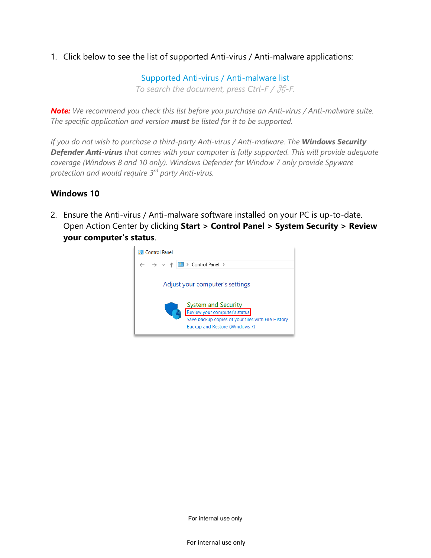1. Click below to see the list of supported Anti-virus / Anti-malware applications:

[Supported Anti-virus / Anti-malware list](https://dbrasweb.db.com/docs/SupportedAVs.pdf)

*To search the document, press Ctrl-F /* ⌘*-F.*

*Note: We recommend you check this list before you purchase an Anti-virus / Anti-malware suite. The specific application and version must be listed for it to be supported.*

*If you do not wish to purchase a third-party Anti-virus / Anti-malware. The Windows Security Defender Anti-virus that comes with your computer is fully supported. This will provide adequate coverage (Windows 8 and 10 only). Windows Defender for Window 7 only provide Spyware protection and would require 3rd party Anti-virus.*

## **Windows 10**

2. Ensure the Anti-virus / Anti-malware software installed on your PC is up-to-date. Open Action Center by clicking **Start > Control Panel > System Security > Review your computer's status**.



For internal use only

For internal use only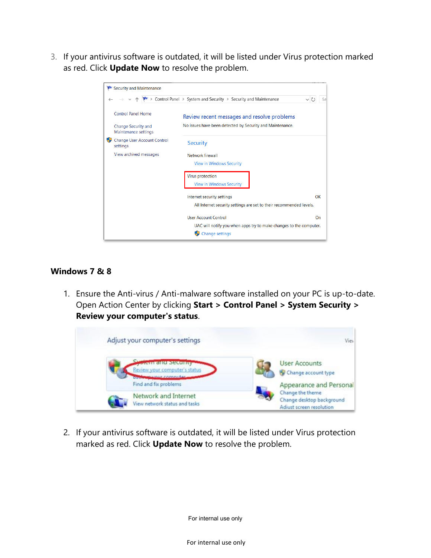3. If your antivirus software is outdated, it will be listed under Virus protection marked as red. Click **Update Now** to resolve the problem.

| <b>Security and Maintenance</b>                    |                                                                                              |
|----------------------------------------------------|----------------------------------------------------------------------------------------------|
|                                                    | $\blacktriangleright$ > Control Panel > System and Security > Security and Maintenance<br>se |
| <b>Control Panel Home</b>                          | Review recent messages and resolve problems                                                  |
| <b>Change Security and</b><br>Maintenance settings | No issues have been detected by Security and Maintenance.                                    |
| Change User Account Control<br>settings            | Security                                                                                     |
| View archived messages                             | <b>Network firewall</b>                                                                      |
|                                                    | <b>View in Windows Security</b>                                                              |
|                                                    | Virus protection                                                                             |
|                                                    | <b>View in Windows Security</b>                                                              |
|                                                    | OK<br>Internet security settings                                                             |
|                                                    | All Internet security settings are set to their recommended levels.                          |
|                                                    | <b>User Account Control</b><br>On                                                            |
|                                                    | UAC will notify you when apps try to make changes to the computer.                           |
|                                                    | Change settings                                                                              |

## **Windows 7 & 8**

1. Ensure the Anti-virus / Anti-malware software installed on your PC is up-to-date. Open Action Center by clicking **Start > Control Panel > System Security > Review your computer's status**.



2. If your antivirus software is outdated, it will be listed under Virus protection marked as red. Click **Update Now** to resolve the problem.

For internal use only

For internal use only